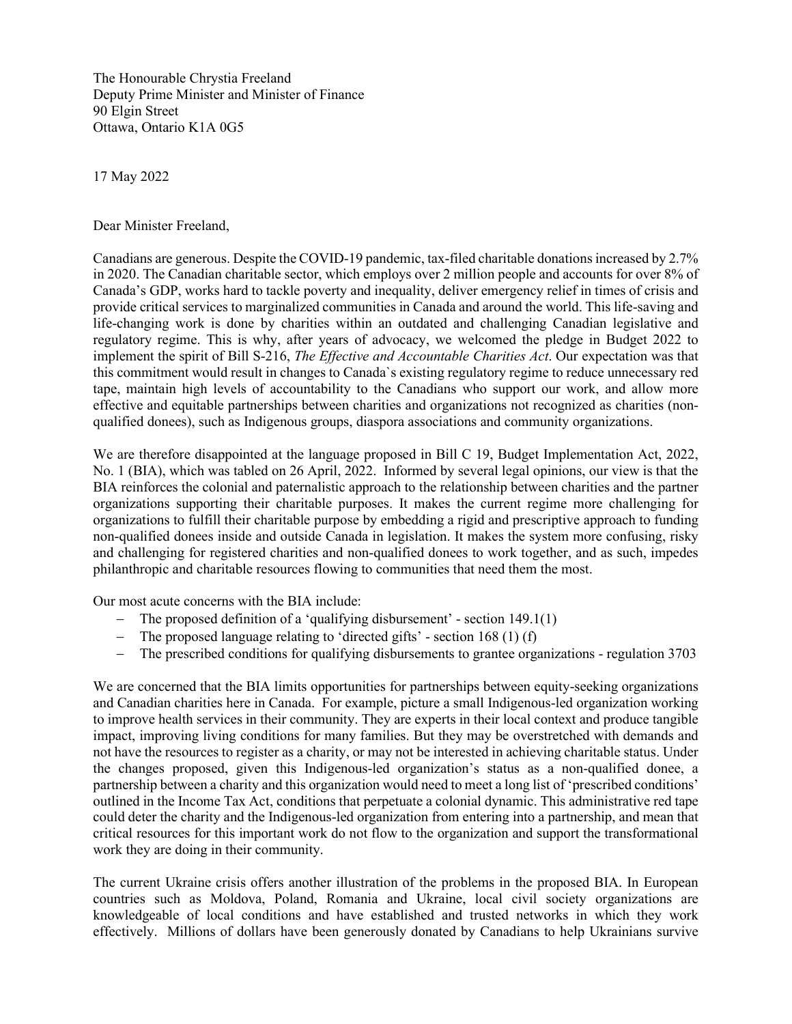The Honourable Chrystia Freeland Deputy Prime Minister and Minister of Finance 90 Elgin Street Ottawa, Ontario K1A 0G5

17 May 2022

Dear Minister Freeland,

Canadians are generous. Despite the COVID-19 pandemic, tax-filed charitable donations increased by 2.7% in 2020. The Canadian [charitable sector,](https://sencanada.ca/content/sen/committee/421/CSSB/Reports/CSSB_Report_Final_e.pdf) which employs over 2 million people and accounts for over 8% of Canada's GDP, works hard to tackle poverty and inequality, deliver emergency relief in times of crisis and provide critical services to marginalized communities in Canada and around the world. This life-saving and life-changing work is done by charities within an outdated and challenging Canadian legislative and regulatory regime. This is why, after years of advocacy, we welcomed the pledge in Budget 2022 to implement the spirit of Bill S-216, *The Effective and Accountable Charities Act*. Our expectation was that this commitment would result in changes to Canada`s existing regulatory regime to reduce unnecessary red tape, maintain high levels of accountability to the Canadians who support our work, and allow more effective and equitable partnerships between charities and organizations not recognized as charities (nonqualified donees), such as Indigenous groups, diaspora associations and community organizations.

We are therefore disappointed at the language proposed in Bill C 19, Budget Implementation Act, 2022, No. 1 (BIA), which was tabled on 26 April, 2022. Informed by several legal opinions, our view is that the BIA reinforces the colonial and paternalistic approach to the relationship between charities and the partner organizations supporting their charitable purposes. It makes the current regime more challenging for organizations to fulfill their charitable purpose by embedding a rigid and prescriptive approach to funding non-qualified donees inside and outside Canada in legislation. It makes the system more confusing, risky and challenging for registered charities and non-qualified donees to work together, and as such, impedes philanthropic and charitable resources flowing to communities that need them the most.

Our most acute concerns with the BIA include:

- − The proposed definition of a 'qualifying disbursement' section 149.1(1)
- − The proposed language relating to 'directed gifts' section 168 (1) (f)
- − The prescribed conditions for qualifying disbursements to grantee organizations regulation 3703

We are concerned that the BIA limits opportunities for partnerships between equity-seeking organizations and Canadian charities here in Canada. For example, picture a small Indigenous-led organization working to improve health services in their community. They are experts in their local context and produce tangible impact, improving living conditions for many families. But they may be overstretched with demands and not have the resources to register as a charity, or may not be interested in achieving charitable status. Under the changes proposed, given this Indigenous-led organization's status as a non-qualified donee, a partnership between a charity and this organization would need to meet a long list of 'prescribed conditions' outlined in the Income Tax Act, conditions that perpetuate a colonial dynamic. This administrative red tape could deter the charity and the Indigenous-led organization from entering into a partnership, and mean that critical resources for this important work do not flow to the organization and support the transformational work they are doing in their community.

The current Ukraine crisis offers another illustration of the problems in the proposed BIA. In European countries such as Moldova, Poland, Romania and Ukraine, local civil society organizations are knowledgeable of local conditions and have established and trusted networks in which they work effectively. Millions of dollars have been generously donated by Canadians to help Ukrainians survive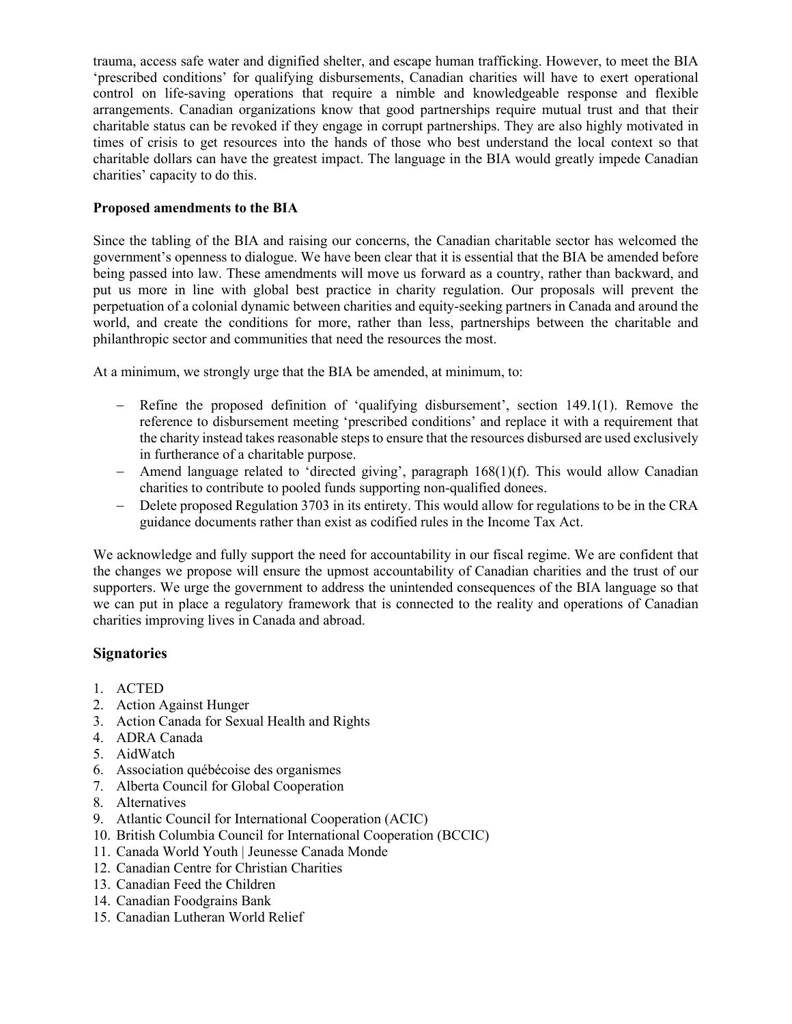trauma, access safe water and dignified shelter, and escape human trafficking. However, to meet the BIA 'prescribed conditions' for qualifying disbursements, Canadian charities will have to exert operational control on life-saving operations that require a nimble and knowledgeable response and flexible arrangements. Canadian organizations know that good partnerships require mutual trust and that their charitable status can be revoked if they engage in corrupt partnerships. They are also highly motivated in times of crisis to get resources into the hands of those who best understand the local context so that charitable dollars can have the greatest impact. The language in the BIA would greatly impede Canadian charities' capacity to do this.

## **Proposed amendments to the BIA**

Since the tabling of the BIA and raising our concerns, the Canadian charitable sector has welcomed the government's openness to dialogue. We have been clear that it is essential that the BIA be amended before being passed into law. These amendments will move us forward as a country, rather than backward, and put us more in line with global best practice in charity regulation. Our proposals will prevent the perpetuation of a colonial dynamic between charities and equity-seeking partners in Canada and around the world, and create the conditions for more, rather than less, partnerships between the charitable and philanthropic sector and communities that need the resources the most.

At a minimum, we strongly urge that the BIA be amended, at minimum, to:

- − Refine the proposed definition of 'qualifying disbursement', section 149.1(1). Remove the reference to disbursement meeting 'prescribed conditions' and replace it with a requirement that the charity instead takes reasonable steps to ensure that the resources disbursed are used exclusively in furtherance of a charitable purpose.
- − Amend language related to 'directed giving', paragraph 168(1)(f). This would allow Canadian charities to contribute to pooled funds supporting non-qualified donees.
- − Delete proposed Regulation 3703 in its entirety. This would allow for regulations to be in the CRA guidance documents rather than exist as codified rules in the Income Tax Act.

We acknowledge and fully support the need for accountability in our fiscal regime. We are confident that the changes we propose will ensure the upmost accountability of Canadian charities and the trust of our supporters. We urge the government to address the unintended consequences of the BIA language so that we can put in place a regulatory framework that is connected to the reality and operations of Canadian charities improving lives in Canada and abroad.

## **Signatories**

- 1. ACTED
- 2. Action Against Hunger
- 3. Action Canada for Sexual Health and Rights
- 4. ADRA Canada
- 5. AidWatch
- 6. Association québécoise des organismes
- 7. Alberta Council for Global Cooperation
- 8. Alternatives
- 9. Atlantic Council for International Cooperation (ACIC)
- 10. British Columbia Council for International Cooperation (BCCIC)
- 11. Canada World Youth | Jeunesse Canada Monde
- 12. Canadian Centre for Christian Charities
- 13. Canadian Feed the Children
- 14. Canadian Foodgrains Bank
- 15. Canadian Lutheran World Relief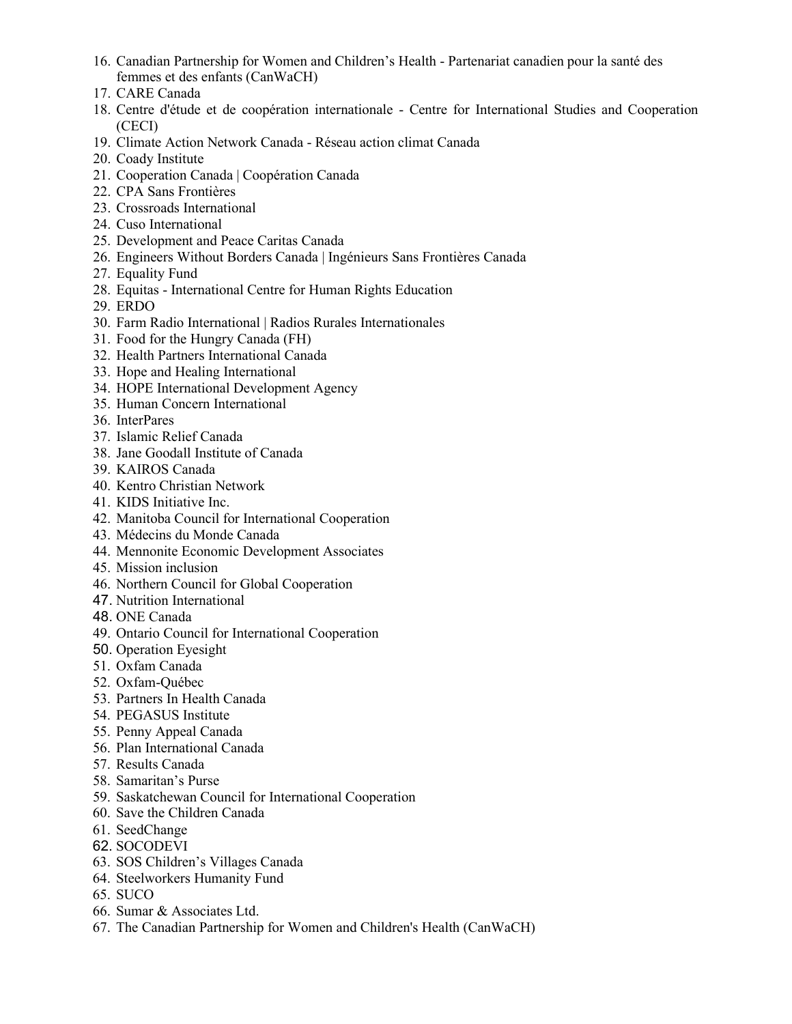- 16. Canadian Partnership for Women and Children's Health Partenariat canadien pour la santé des femmes et des enfants (CanWaCH)
- 17. CARE Canada
- 18. Centre d'étude et de coopération internationale Centre for International Studies and Cooperation (CECI)
- 19. Climate Action Network Canada Réseau action climat Canada
- 20. Coady Institute
- 21. Cooperation Canada | Coopération Canada
- 22. CPA Sans Frontières
- 23. Crossroads International
- 24. Cuso International
- 25. Development and Peace Caritas Canada
- 26. Engineers Without Borders Canada | Ingénieurs Sans Frontières Canada
- 27. Equality Fund
- 28. Equitas International Centre for Human Rights Education
- 29. ERDO
- 30. Farm Radio International | Radios Rurales Internationales
- 31. Food for the Hungry Canada (FH)
- 32. Health Partners International Canada
- 33. Hope and Healing International
- 34. HOPE International Development Agency
- 35. Human Concern International
- 36. InterPares
- 37. Islamic Relief Canada
- 38. Jane Goodall Institute of Canada
- 39. KAIROS Canada
- 40. Kentro Christian Network
- 41. KIDS Initiative Inc.
- 42. Manitoba Council for International Cooperation
- 43. Médecins du Monde Canada
- 44. Mennonite Economic Development Associates
- 45. Mission inclusion
- 46. Northern Council for Global Cooperation
- 47. Nutrition International
- 48. ONE Canada
- 49. Ontario Council for International Cooperation
- 50. Operation Eyesight
- 51. Oxfam Canada
- 52. Oxfam-Québec
- 53. Partners In Health Canada
- 54. PEGASUS Institute
- 55. Penny Appeal Canada
- 56. Plan International Canada
- 57. Results Canada
- 58. Samaritan's Purse
- 59. Saskatchewan Council for International Cooperation
- 60. Save the Children Canada
- 61. SeedChange
- 62. SOCODEVI
- 63. SOS Children's Villages Canada
- 64. Steelworkers Humanity Fund
- 65. SUCO
- 66. Sumar & Associates Ltd.
- 67. The Canadian Partnership for Women and Children's Health (CanWaCH)